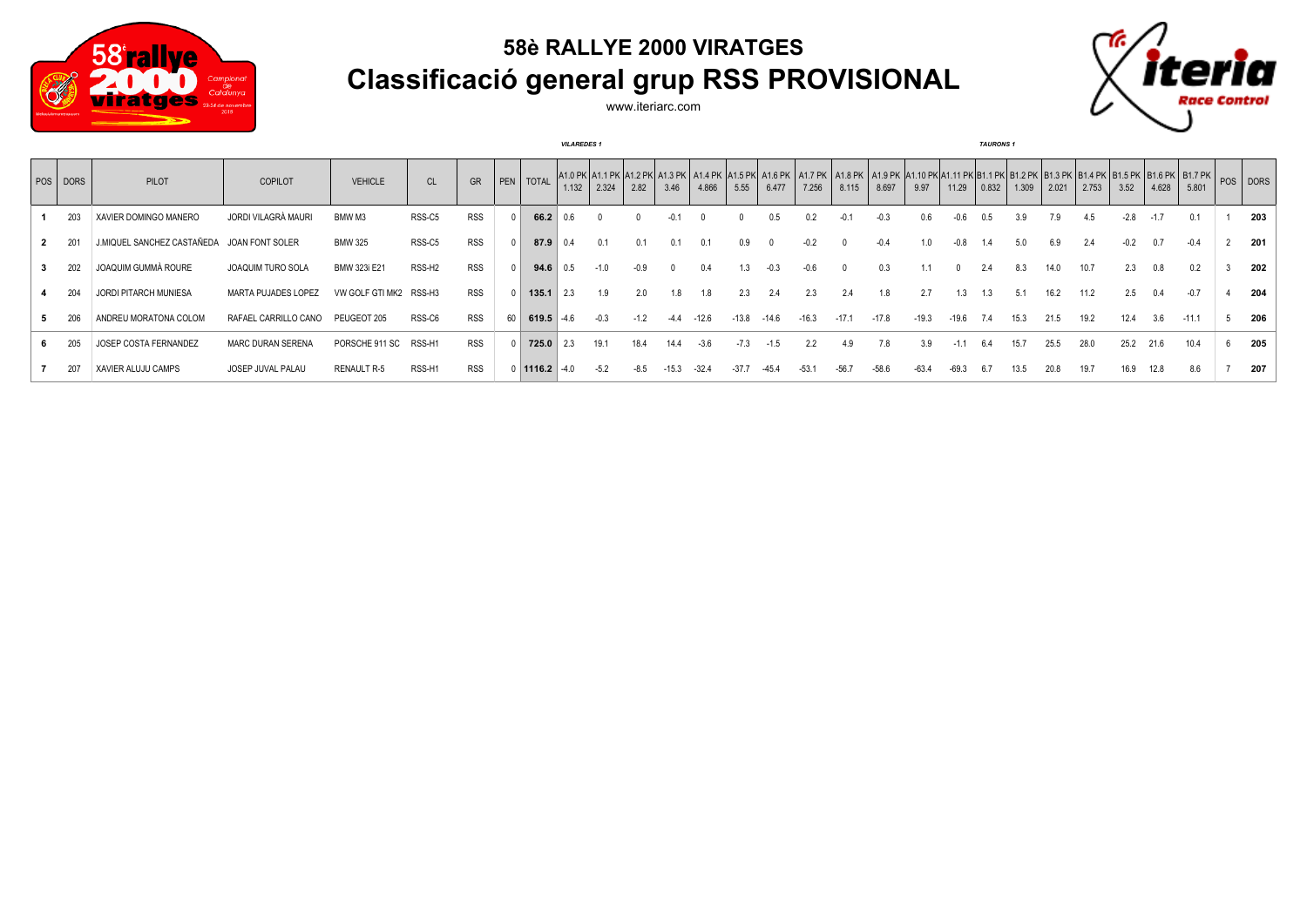

## **58è RALLYE 2000 VIRATGES Classificació general grup RSS PROVISIONAL**



www.iteriarc.com

|          |                            |                          | <b>VILAREDES 1</b>     |                    |            |    |                 |       |        |        | <b>TAURONS 1</b> |         |         |         |         |         |         |         |         |       |       |       |       |        |       |                                                                                                                                                                                                                                         |  |     |
|----------|----------------------------|--------------------------|------------------------|--------------------|------------|----|-----------------|-------|--------|--------|------------------|---------|---------|---------|---------|---------|---------|---------|---------|-------|-------|-------|-------|--------|-------|-----------------------------------------------------------------------------------------------------------------------------------------------------------------------------------------------------------------------------------------|--|-----|
| POS DORS | PILOT                      | <b>COPILOT</b>           | <b>VEHICLE</b>         | CL                 | GR         |    | PEN   TOTAL     | 1.132 | 2.324  | 2.82   | 3.46             | 4.866   | 5.55    | 6.477   | 7.256   | 8.115   | 8.697   | 9.97    | 11.29   | 0.832 | 1.309 | 2.021 | 2.753 | 3.52   | 4.628 | A1.0 PK A1.1 PK A1.2 PK A1.3 PK A1.4 PK A1.6 PK A1.6 PK A1.7 PK A1.8 PK A1.9 PK A1.10 PK A1.11 PK B1.1 PK B1.2 PK B1.3 PK B1.4 PK B1.5 PK B1.5 PK B1.7 PK B1.7 PK B1.7 PK B1.7 PK B1.7 PK B1.7 PK B1.7 PK B1.7 PK B1.7 PK B1.7<br>5.801 |  |     |
| 203      | XAVIER DOMINGO MANERO      | JORDI VILAGRÀ MAURI      | BMW M3                 | RSS-C5             | <b>RSS</b> |    | 66.2            | N 6.  |        |        |                  |         |         | 0.5     |         |         | $-0.3$  | 0.6     | -0.6    | 0.5   | 3.9   | 7.9   | 4.5   | $-2.8$ |       | 0.1                                                                                                                                                                                                                                     |  | 203 |
|          | J.MIQUEL SANCHEZ CASTAÑEDA | JOAN FONT SOLER          | <b>BMW 325</b>         | RSS-C5             | <b>RSS</b> |    | 87.9            |       | 0.1    | 0.1    |                  |         |         |         |         |         |         |         |         |       |       | 6.9   |       |        |       |                                                                                                                                                                                                                                         |  | 201 |
|          | JOAQUIM GUMMÀ ROURE        | JOAQUIM TURO SOLA        | BMW 323i E21           | RSS-H <sub>2</sub> | <b>RSS</b> |    | 94.6            | 0.5   | $-1.0$ | $-0.9$ |                  |         |         | $-0.3$  |         |         | 0.3     |         |         | 2.4   | 8.3   | 14.0  | 10.7  | 2.3    | 0.8   | 0.2                                                                                                                                                                                                                                     |  | 202 |
| 204      | JORDI PITARCH MUNIESA      | MARTA PUJADES LOPEZ      | VW GOLF GTI MK2 RSS-H3 |                    | <b>RSS</b> |    | 135.1           | 2.3   | 1.9    | 2.0    | 1.8              | 1.8     | 2.3     | 2.4     | 2.3     | 2.4     | 1.8     | 2.7     | 1.3     | 1.3   | 5.1   | 16.2  | 11.2  | 2.5    | 0.4   | $-0.7$                                                                                                                                                                                                                                  |  | 204 |
|          | ANDREU MORATONA COLOM      | RAFAEL CARRILLO CANO     | PEUGEOT 205            | RSS-C6             | <b>RSS</b> | 60 | 619.5           | $-46$ | $-0.3$ | $-1.2$ |                  | $-12.6$ | $-13.8$ | $-14.6$ | $-16.3$ | $-17.1$ | $-17.8$ | $-19.3$ | $-19.6$ | 7.4   | 15.3  | 21.5  | 19.2  | 12.4   | 3.6   | $-11.1$                                                                                                                                                                                                                                 |  | 206 |
|          | JOSEP COSTA FERNANDEZ      | <b>MARC DURAN SERENA</b> | PORSCHE 911 SC         | RSS-H1             | <b>RSS</b> |    | 725.0           | 2.3   | 19.1   | 18.4   |                  | $-3.6$  | $-7.3$  |         |         | 4.9     | 7.8     | 3.9     |         | 6.4   | 15.7  | 25.5  | 28.0  | 25.2   | 21.6  | 10.4                                                                                                                                                                                                                                    |  | 205 |
| 207      | XAVIER ALUJU CAMPS         | JOSEP JUVAL PALAU        | <b>RENAULT R-5</b>     | RSS-H1             | <b>RSS</b> |    | $0$ 1116.2 -4.0 |       | $-5.2$ | -8.5   |                  | $-324$  | $-37.7$ |         | $-531$  | $-56.7$ | $-58.6$ | $-63.4$ | $-69.3$ |       | 13.5  | 20.8  | 19.7  | 16.9   |       | 8.6                                                                                                                                                                                                                                     |  | 207 |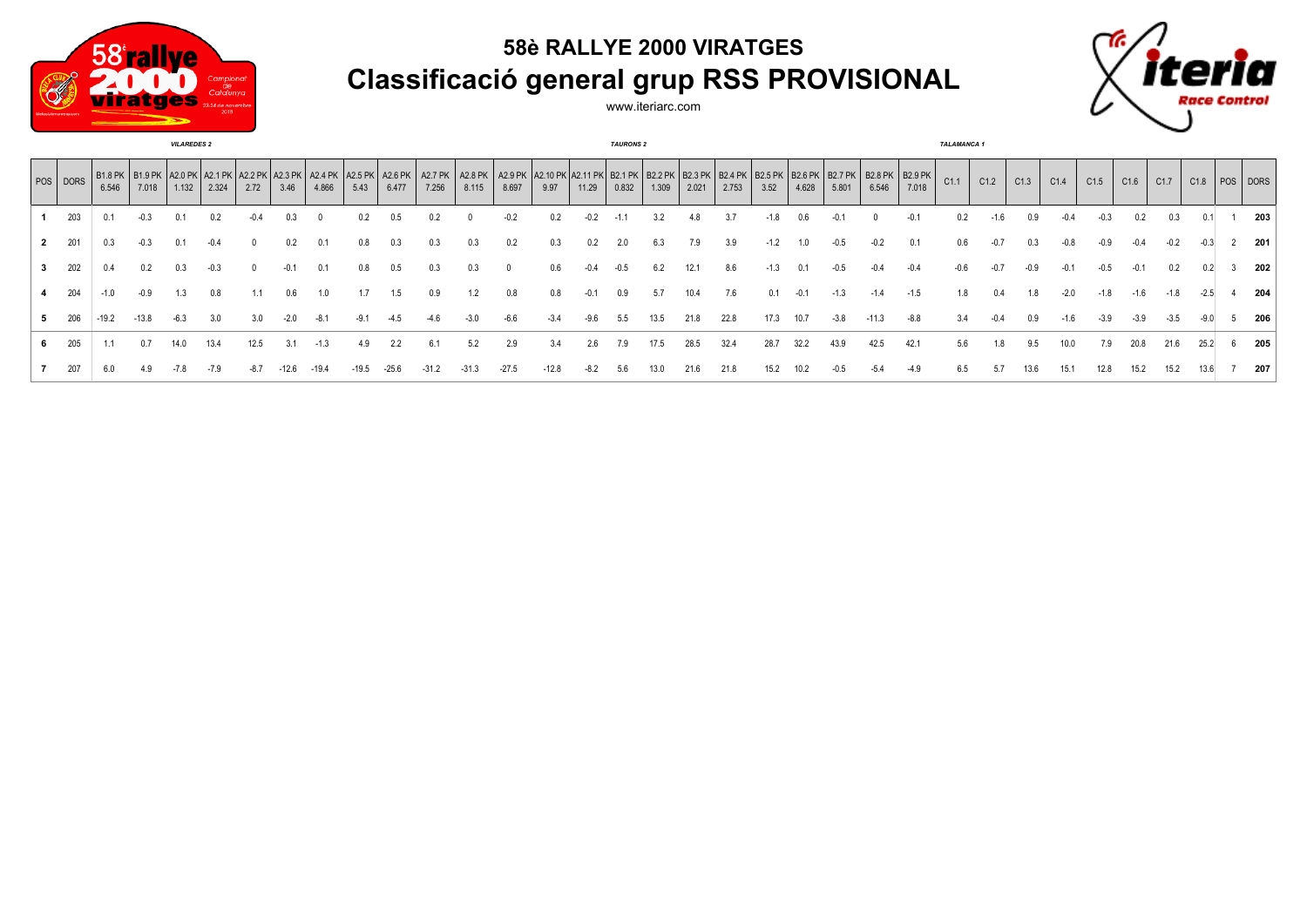

## **58è RALLYE 2000 VIRATGES Classificació general grup RSS PROVISIONAL**



www.iteriarc.com

| <b>VILAREDES 2</b> |          |         |         |       |       |      |      |       |      |       |                                                                                                                                                                                                                                       |       | <b>TAURONS 2</b> |        |        |        |       |       |       |        |       |        | <b>TALAMANCA1</b> |        |      |      |        |        |        |        |        |        |                     |
|--------------------|----------|---------|---------|-------|-------|------|------|-------|------|-------|---------------------------------------------------------------------------------------------------------------------------------------------------------------------------------------------------------------------------------------|-------|------------------|--------|--------|--------|-------|-------|-------|--------|-------|--------|-------------------|--------|------|------|--------|--------|--------|--------|--------|--------|---------------------|
|                    | POS DORS | 6.546   | 7.018   | 1.132 | 2.324 | 2.72 | 3.46 | 4.866 | 5.43 | 6.477 | B1.8 PK   B1.9 PK   A2.0 PK   A2.1 PK   A2.2 PK   A2.4 PK   A2.4 PK   A2.5 PK   A2.6 PK   A2.1 PK   A2.8 PK   A2.10 PK   B2.1 PK   B2.1 PK   B2.2 PK   B2.3 PK   B2.6 PK   B2.6 PK   B2.6 PK   B2.8 PK   B2.9 PK   B2.9 PK  <br>7.256 | 8.115 | 8.697            | 9.97   | 11.29  | 0.832  | 1.309 | 2.021 | 2.753 | 3.52   | 4.628 | 5.801  | 6.546             | 7.018  | C1.1 | C1.2 | C1.3   | C1.4   | C1.5   | C1.6   | C1.7   |        | $C1.8$   POS   DORS |
|                    | 203      |         |         |       |       |      |      |       |      |       |                                                                                                                                                                                                                                       |       |                  |        |        |        |       |       |       |        |       |        |                   |        |      |      |        |        |        |        |        |        | 203                 |
| $\overline{2}$     | 201      |         |         |       |       |      |      | 0.1   |      | 0.3   | 0.3                                                                                                                                                                                                                                   | 0.3   | 0.2              | 0.3    | 0.2    | 2.0    | 6.3   | 7.9   | 3.9   | $-1.2$ | 1.0   |        | -0.2              |        | 0.6  | -0.7 | 0.3    |        |        |        |        |        | 201                 |
| 3                  | 202      |         |         | 0.3   |       |      |      | 0.1   | 0.8  | 0.5   | 0.3                                                                                                                                                                                                                                   | 0.3   |                  | 0.6    | $-0.4$ | $-0.5$ | 6.2   |       | 8.6   | $-1.3$ |       |        |                   |        |      | -0.7 | $-0.9$ |        |        | $-0.1$ | 0.2    |        | 202                 |
|                    | 204      | $-1.0$  | $-0.9$  | 1.3   | 0.8   |      |      |       |      | 1.5   | 0.9                                                                                                                                                                                                                                   |       | 0.8              | 0.8    |        | 0.9    | 5.7   | 10.4  | 7.6   | 0.1    | -0.1  | $-1.3$ | $-1.4$            | $-1.5$ | 1.8  | 0.4  | 1.8    | $-2.0$ | $-1.8$ | $-1.6$ | $-1.8$ | $-2.5$ | 204                 |
| 5                  | 206      | $-19.2$ | $-13.8$ | -6.3  | 3.0   |      |      |       |      |       |                                                                                                                                                                                                                                       |       |                  | $-3.4$ |        |        | 13.5  | 21.8  | 22.8  | 17.3   | 10.7  | $-3.8$ | $-11.3$           | -8.8   |      |      | 0.9    | -1.6   |        | -3.9   |        |        | 206                 |
|                    | 205      |         |         | 14.0  | 13.4  | 12.5 |      |       | 4.9  |       | 6.1                                                                                                                                                                                                                                   | 5.2   | 2.9              | 3.4    | 2.6    |        |       |       | 32.4  | 28.7   | 32.2  | 43.9   | 42.5              |        | 5.6  | 1.8  | 9.5    | 10.0   |        | 20.8   | 21.6   | 25.2   | 205                 |
|                    | 207      |         |         |       |       |      |      |       |      |       |                                                                                                                                                                                                                                       |       |                  |        |        |        |       |       | 21.8  | 15.2   | 10.2  |        |                   |        |      |      |        | 15.1   |        | 15.2   |        |        | 207                 |